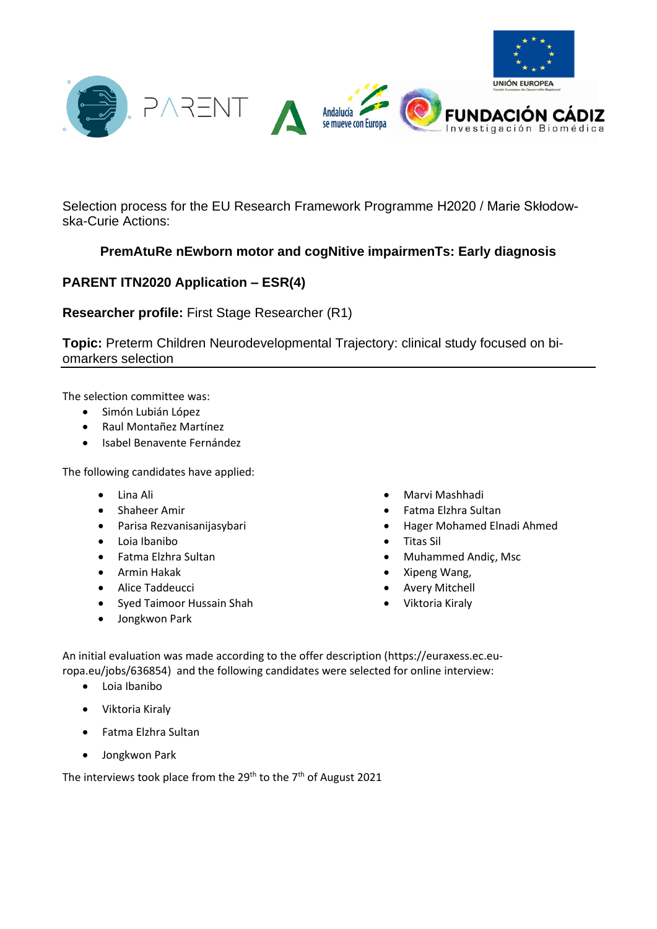

Selection process for the EU Research Framework Programme H2020 / Marie Skłodowska-Curie Actions:

## **PremAtuRe nEwborn motor and cogNitive impairmenTs: Early diagnosis**

## **PARENT ITN2020 Application – ESR(4)**

**Researcher profile:** First Stage Researcher (R1)

**Topic:** Preterm Children Neurodevelopmental Trajectory: clinical study focused on biomarkers selection

The selection committee was:

- Simón Lubián López
- Raul Montañez Martínez
- Isabel Benavente Fernández

The following candidates have applied:

- Lina Ali
- Shaheer Amir
- Parisa Rezvanisanijasybari
- Loia Ibanibo
- Fatma Elzhra Sultan
- Armin Hakak
- Alice Taddeucci
- Syed Taimoor Hussain Shah
- Jongkwon Park
- Marvi Mashhadi
- Fatma Elzhra Sultan
- Hager Mohamed Elnadi Ahmed
- Titas Sil
- Muhammed Andiç, Msc
- Xipeng Wang,
- **Avery Mitchell**
- Viktoria Kiraly

An initial evaluation was made according to the offer description (https://euraxess.ec.europa.eu/jobs/636854) and the following candidates were selected for online interview:

- Loia Ibanibo
- Viktoria Kiraly
- Fatma Elzhra Sultan
- Jongkwon Park

The interviews took place from the 29<sup>th</sup> to the 7<sup>th</sup> of August 2021